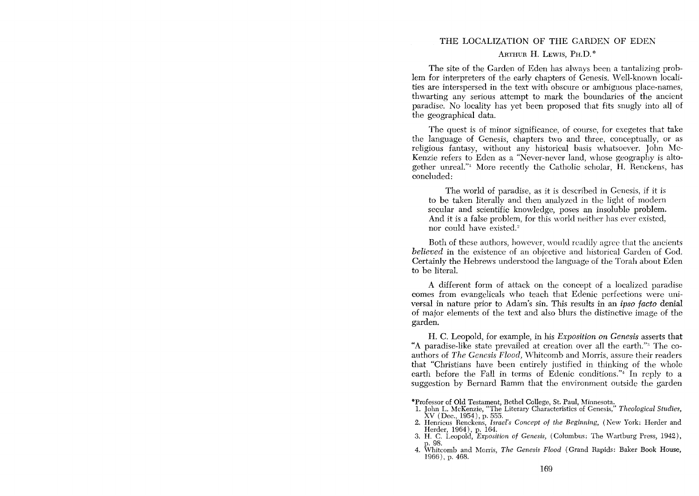# THE LOCALIZATION OF THE GARDEN OF EDEN ARTHUR H. LEWIS, PH.D.<sup>\*</sup>

The site of the Garden of Eden has always been a tantalizing problem for interpreters of the early chapters of Genesis. Well-known localities are interspersed in the text with obscure or ambiguous place-names, thwarting any serious attempt to mark the boundaries of the ancient paradise. No locality has yet been proposed that fits snugly into all of the geographical data.

The quest is of minor significance, of course, for exegetes that take the language of Genesis, chapters two and three, conceptually, or as religious fantasy, without any historical basis whatsoever. John Mc-Kenzie refers to Eden as a "Never-never land, whose geography is altogether unreal."<sup>1</sup> More recently the Catholic scholar, H. Renckens, has concluded:

The world of paradise, as it is described in Genesis, if it is to be taken literally and then analyzed in the light of modern secular and scientific knowledge, poses an insoluble problem. And it is a false problem, for this world neither has ever existed, nor could have existed.<sup>2</sup>

Both of these authors, howcver, would readily agree that the ancients *believed* in the existence of an objective and historical Garden of God. Certainly the Hebrews understood the language of the Torah about Eden to be literal.

A different form of attack on the concept of a localized paradise comes from evangelicals who teach that Edenic perfections were universal in nature prior to Adam's sin. This results in an *ipso facto* denial of major elements of the text and also blurs the distinctive image of the garden.

H. C. Leopold, for example, in his *Exposition on Genesis* asserts that "A paradise-like state prevailed at creation over all the earth.'" The coauthors of *The Genesis Flood*, Whitcomb and Morris, assure their readers that "Christians have been entirely justified in thinking of the whole earth before the Fall in terms of Edenic conditions."<sup>4</sup> In reply to a suggestion by Bernard Ramm that the environment outside the garden

- "Professor of Old Testament, Bethel College, St. Paul, Minnesota. 1. John L. McKenzie, "The Literary Characteristics of Genesis," *Theological Studies,*  XV (Dee., 1954), p. 555.
- 2. Henricus Renckens, *Israel's Concept of the Beginning,* (New York: Herder and Herder, 1964), p. 164.
- 3. H. C. Leopold, *Exposition of Genesis,* (Columbus: The Wartburg Press, 1942), p.98.
- 4. \Vhitcomb and Morris, *The Genesis Flood* (Grand Rapids: Baker Book House, 1966), p. 468.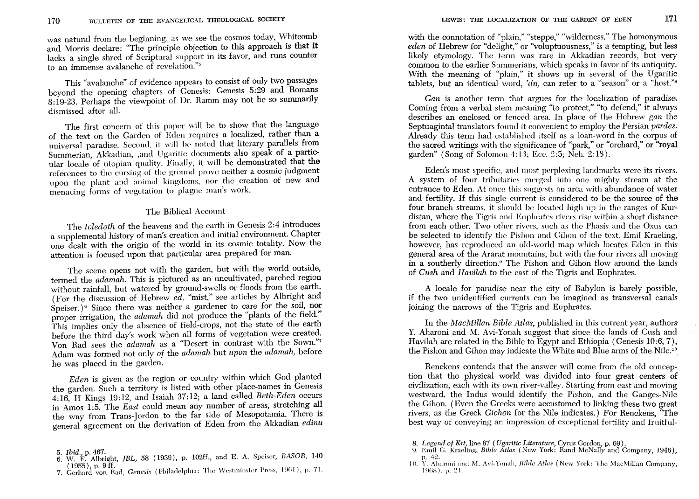was natural from the beginning, as we see the cosmos today, Whitcomb and Morris declare: "The principle objection to this approach is that it lacks a single shred of Scriptural support in its favor, and runs counter to an immense avalanche of revelation."5

This "avalanche" of evidence appears to consist of only two passages beyond the opening chapters of Genesis: Genesis 5:29 and Romans 8:19-23. Perhaps the viewpoint of Dr. Ramm may not be so summarily dismissed after all.

The first concern of this paper will be to show that the language of the text on the Garden of Eden requires a localized, rather than a universal paradise. Second, it will be noted that literary parallels from Summerian, Akkadian, ,and Ugaritic documents also speak of a particular locale of utopian quality. Finally, it will be demonstrated that the references to the cursing of the ground prove neither a cosmic judgment upon the plant and animal kingdoms, nor the creation of new and menacing forms of vegetation to plague man's work.

#### The Biblical Account

The *toledoth* of the heavens and the earth in Genesis 2:4 introduces a supplemental history of man's creation and initial environment. Chapter one dealt with the origin of the world in its cosmic totality. Now the attention is focused upon that particular area prepared for man.

The scene opens not with the garden, but with the world outside, termed the *adamah.* This is pictured as an uncultivated, parched region without rainfall, but watered by ground-swells or floods from the earth. (For the discussion of Hebrew *ed,* "mist," see articles by Albright and Speiser.)<sup>6</sup> Since there was neither a gardener to care for the soil, nor proper irrigation, the *adamah* did not produce the "plants of the field." This implies only the absence of field-crops, not the state of the earth before the third day's work when all forms of vegetation were created. Von Rad sees the *adamah* as a "Desert in contrast with the Sown."7 Adam was formed not only *of* the *adamah* but *upon* the *adamah,* before he was placed in the garden.

*Eden* is given as the region or country within which God planted the garden. Such a territory is listed with other place-names in Genesis 4:16, II Kings 19:12, and Isaiah 37:12; a land called *Beth-Eden* occurs in Amos 1:5. The *East* could mean any number of areas, stretching all the way from Trans-Jordon to the far side of Mesopotamia. There is general agreement on the derivation of Eden from the Akkadian *edinu*  L with other place-names<br>12; a land called *Beth-1*<br>any number of areas, st<br>far side of Mesopotam:<br>1 of Eden from the Akk<br>102ff., and E. A. Speiser,<br>102ff., and E. A. Speiser,<br>1ia: The Westminster Press,

(1955), p. 9 ff.<br>7. Gerhard von Rad, *Genesis* (Philadelphia: The Westminster Press, 1961), p. 71.  $(1955)$ , p. 9 ff.

with the connotation of "plain," "steppe," "wilderness." The homonymous *eden* of Hebrew for "delight," or "voluptuousness," is a tempting, but less likely etymology. The term was rare in Akkadian records, but very common to the earlier Summerians, which speaks in favor of its antiquity. With the meaning of "plain," it shows up in several of the Ugaritic tablets, but an identical word, *'dn*, can refer to a "season" or a "host."<sup>8</sup>

*Can* is another term that argues for the localization of paradise. Coming from a verbal stem meaning "to protect," "to defend," it always describes an enclosed or fcnced area. In place of the Hebrew *gan* the Septuagintal translators found it convenient to employ the Persian *pardes*. Already this term had cstahlished itself as a loan-word in the corpus of the sacred writings with the significance of "park," or "orchard," or "royal garden" (Song of Solomon 4:13; Ecc. 2:5; Neb. 2:18).

Eden's most specific, and most perplexing landmarks were its rivers. A system of four tributaries merged into one mighty stream at the entrance to Eden. At once this suggests an area with abundance of water and fertility. If this singlc current is considered to be the source of the four branch streams, it should be located high up in the ranges of Kurdistan, where the Tigris and Euphrates rivers rise within a short distance from each other. Two other rivers, such as the Phasis and the Oxus can be selected to identify the Pishon and Cihon of the text. Emil Kraeling, however, has reproduced an old-world map which locates Eden in this general area of the Ararat mountains, but with the four rivers all moving in a southerly direction." The Pishon and Gihon flow around the lands of *Gush* and *Havilah* to the east of the Tigris and Euphrates.

A locale for paradise near the city of Babylon is barely possible, if the two unidentified currents can be imagined as transversal canals joining the narrows of the Tigris and Euphrates.

In the *MacMillan Bible Atlas*, published in this current year, authors' Y. Aharoni and M. Avi-Yonah suggest that since the lands of Cush and Havilah are related in the Bible to Egypt and Ethiopia (Genesis 10:6, 7), the Pishon and Gihon may indicate the White and Blue arms of the Nile.<sup>10</sup>

Renckens contends that the answer will come from the old conception that the physical world was divided into four great centers of civilization, each with its own river-valley. Starting from east and moving westward, the Indus would identify the Pishon, and the Ganges-Nile the Gihon. (Even the Greeks were accustomed to linking these two great rivers, as the Greek *Cichon* for the Nile indicates.) For Renckens, "The best way of conveying an impression of exceptional fertility and fruitful-

- *8. Legend* of *Krt,* line 87 *(U garitic Literature,* Cyrus Gordon, p. 69).
- 9. Emi; C. Kraeling, *Bible Atlas* (New York: Rand McNally and Company, 1946), p. 42.
- 10. Y. Aharoni and M. Avi-Yonah, *Bible Atlas* (New York: The MacMillan Company, 1968), p. 21.

<sup>5.</sup> *Ibid.*, p. 467. **f** 6. W. F. Albright, *JBL*, 58 (1939), p. 102ff., and E. A. Speiser, *BASOR*, 140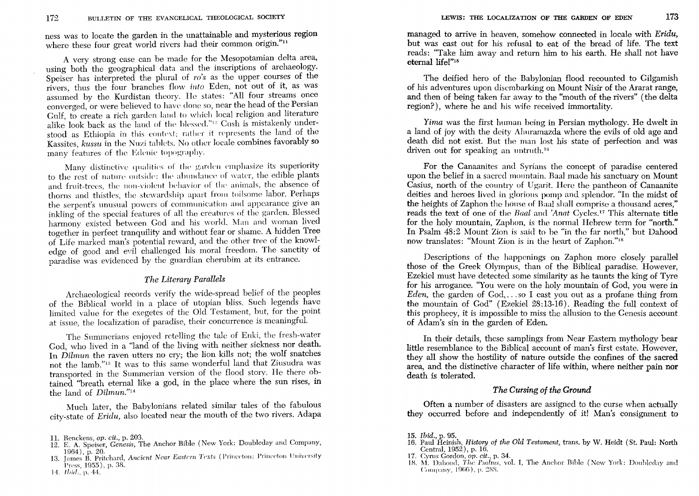ness was to locate the garden in the unattainable and mysterious region where these four great world rivers had their common origin."<sup>11</sup>

A very strong case can be made for the Mesopotamian delta area, using both the geographical data and the inscriptions of archaeology. Speiser has interpreted the plural of *ro's* as the upper courses of the rivers, thus the four branches flow *into* Eden, not out of it, as was assumed by the Kurdistan theory. He states: "All four streams once converged, or were believed to have done so, near the head of the Persian Gulf, to create a rich garden land to which local religion and literature alike look back as the land of the blessed."<sup>12</sup> Cush is mistakenly understood as Ethiopia in this context; rather it represents the land of the Kassites, *kussu* in the Nuzi tablets. No other locale combines favorably so many features of the Edenic topography.

Many distinctive qualities of the garden emphasize its superiority to the rest of nature outside: the ahundance of water, the edible plants and fruit-trees, the non-violent behavior of the animals, the absence of thorns and thistles, the stewardship apart from toilsome labor. Perhaps the serpent's unusual powers of communication and appearance give an inkling of the special features of all the creatures of the garden. Blessed harmony existed between God and his world. Man and woman lived together in perfect tranquility and without fear or shame. A hidden Tree of Life marked man's potential reward, and the other tree of the knowledge of good and evil challenged his moral freedom. The sanctity of paradise was evidenced by the guardian cherubim at its entrance.

### *The Literary Parallels*

Archaeological records verify the wide-spread belief of the peoples of the Biblical world in a place of utopian bliss. Such legends have limited value for the exegetes of the Old Testament, but, for the point at issue, the localization of paradise, their concurrence is meaningful.

The Summerians enjoyed retelling the tale of Enki, the fresh-water God, who lived in a "land of the living with neither sickness nor death. In *Dilmun* the raven utters no cry; the lion kills not; the wolf snatches not the lamb."!3 It was to this same wonderful land that Ziusudra was transported in the Summerian version of the flood story. He there obtained ''breath eternal like a god, in the place where the sun rises, in the land of *Dilmun."14* 

Much later, the Babylonians related similar tales of the fabulous city-state of *Eridu,* also located near the mouth of the two rivers. Adapa

- 12. E. A. Speiser, *Genesis,* The Anchor Bible (New York: Doubleday and Company, 1964), p. 20.<br>13. James B. Pritchard, *Ancient Near Eastern Texts* (Princeton: Princeton University
- Press, 1955), p. 38.
- 14. *Ibid.*, p. 44.

managed to arrive in heaven, somehow connected in locale with *Eridu,*  but was cast out for his refusal to eat of the bread of life. The text reads: "Take him away and return him to his earth. He shall not have eternal lifel"15

The deified hero of the Babylonian flood recounted to Gilgamish of his adventures upon discmbarking on Mount Nisir of the Ararat range, and then of being taken far away to the "mouth of the rivers" (the delta region?), where he and his wife received immortality.

*Yima* was the first human being in Persian mythology. He dwelt in a land of joy with the deity Ahuramazda where the evils of old age and death did not exist. But the man lost his state of perfection and was driven out for speaking an untruth.<sup>16</sup>

For the Canaanites and Syrians the concept of paradise centered upon the belief in a sacred mountain. Baal made his sanctuary on Mount Casius, north of the country of Ugarit. Here the pantheon of Canaanite deities and heroes lived in glorious pomp and splendor. "In the midst of the heights of Zaphon the house of Baal shall comprise a thousand acres," reads the text of one of the *Baal* and 'Anat Cycles.<sup>17</sup> This alternate title for the holy mountain, Zaphon, is the normal Hebrew term for "north." In Psalm 48:2 Mount Zion is said to be "in the far north," but Dahood now translates: "Mount Zion is in the heart of Zaphon."18

Descriptions of the happenings on Zaphon more closely parallel those of the Greek Olympus, than of the Biblical paradise. However, Ezekiel must have detected some similarity as he taunts the king of Tyre for his arrogance. "You were on the holy mountain of God, you were in *Eden,* the garden of God, ... so I cast you out as a profane thing from the mountain of God" (Ezekiel 28:13-16). Reading the full context of this prophecy, it is impossible to miss the allusion to the Genesis account of Adam's sin in the garden of Eden.

In their details, these samplings from Near Eastern mythology bear little resemblance to the Biblical account of man's first estate. However, they all show the hostility of nature outside the confines of the sacred area, and the distinctive character of life within, where neither pain nor death is tolerated.

## *The Cursing of the Ground*

Often a number of disasters are assigned to the curse when actually they occurred before and independently of it! Man's consignment to

- 16. Paul Heinish, *History of the Old Testament,* trans. by W. Heidt (St. Paul: North Ccntral, 1952), p. 16.
- 17. Cyms Gordon, *op. cit.,* p. 34.
- 18. M. Dahood, The *Psalms*, vol. I, The Anchor Bible (New York: Doubleday and Connany. 1966), p. 288.

<sup>11.</sup> Renckens, *op. cit.,* p. 203.

*<sup>15.</sup> Ibid.,* p. 95.